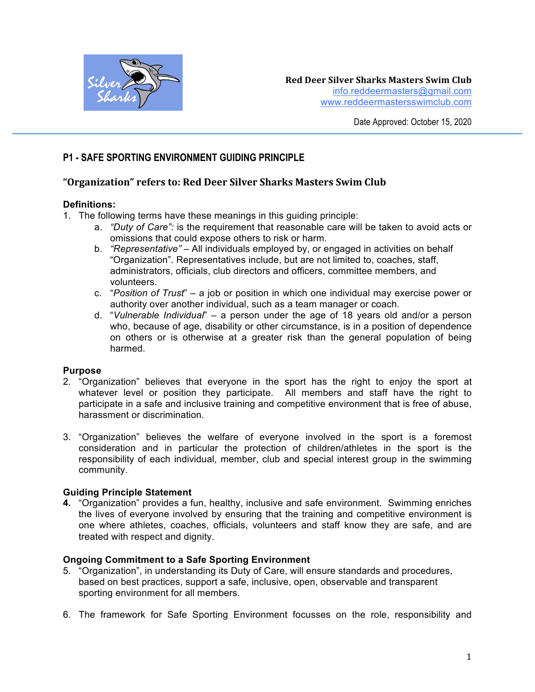

# **P1 - SAFE SPORTING ENVIRONMENT GUIDING PRINCIPLE**

## **"Organization" refers to: Red Deer Silver Sharks Masters Swim Club**

#### **Definitions:**

- 1. The following terms have these meanings in this guiding principle:
	- a. *"Duty of Care":* is the requirement that reasonable care will be taken to avoid acts or omissions that could expose others to risk or harm.
	- b. *"Representative"*  All individuals employed by, or engaged in activities on behalf "Organization". Representatives include, but are not limited to, coaches, staff, administrators, officials, club directors and officers, committee members, and volunteers.
	- c. "*Position of Trust*" a job or position in which one individual may exercise power or authority over another individual, such as a team manager or coach.
	- d. "*Vulnerable Individual*" a person under the age of 18 years old and/or a person who, because of age, disability or other circumstance, is in a position of dependence on others or is otherwise at a greater risk than the general population of being harmed.

### **Purpose**

- 2. "Organization" believes that everyone in the sport has the right to enjoy the sport at whatever level or position they participate. All members and staff have the right to participate in a safe and inclusive training and competitive environment that is free of abuse, harassment or discrimination.
- 3. "Organization" believes the welfare of everyone involved in the sport is a foremost consideration and in particular the protection of children/athletes in the sport is the responsibility of each individual, member, club and special interest group in the swimming community.

### **Guiding Principle Statement**

**4.** "Organization" provides a fun, healthy, inclusive and safe environment. Swimming enriches the lives of everyone involved by ensuring that the training and competitive environment is one where athletes, coaches, officials, volunteers and staff know they are safe, and are treated with respect and dignity.

### **Ongoing Commitment to a Safe Sporting Environment**

- 5. "Organization", in understanding its Duty of Care, will ensure standards and procedures, based on best practices, support a safe, inclusive, open, observable and transparent sporting environment for all members.
- 6. The framework for Safe Sporting Environment focusses on the role, responsibility and